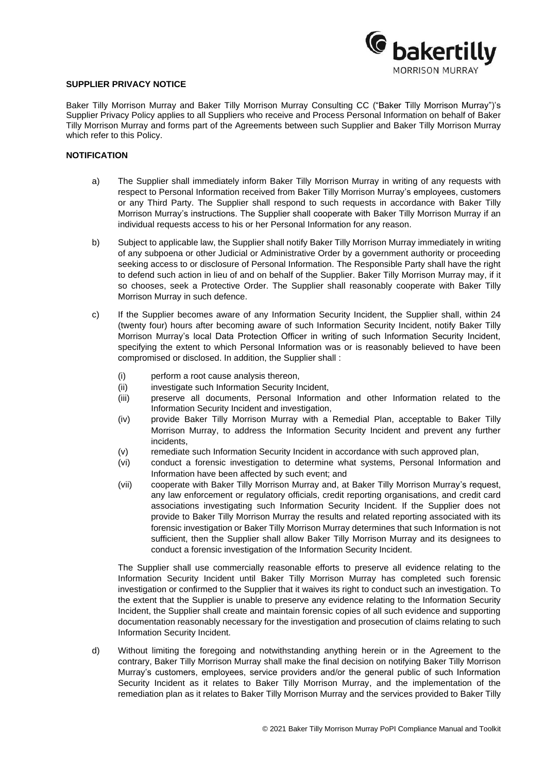

### **SUPPLIER PRIVACY NOTICE**

Baker Tilly Morrison Murray and Baker Tilly Morrison Murray Consulting CC ("Baker Tilly Morrison Murray")'s Supplier Privacy Policy applies to all Suppliers who receive and Process Personal Information on behalf of Baker Tilly Morrison Murray and forms part of the Agreements between such Supplier and Baker Tilly Morrison Murray which refer to this Policy.

# **NOTIFICATION**

- a) The Supplier shall immediately inform Baker Tilly Morrison Murray in writing of any requests with respect to Personal Information received from Baker Tilly Morrison Murray's employees, customers or any Third Party. The Supplier shall respond to such requests in accordance with Baker Tilly Morrison Murray's instructions. The Supplier shall cooperate with Baker Tilly Morrison Murray if an individual requests access to his or her Personal Information for any reason.
- b) Subject to applicable law, the Supplier shall notify Baker Tilly Morrison Murray immediately in writing of any subpoena or other Judicial or Administrative Order by a government authority or proceeding seeking access to or disclosure of Personal Information. The Responsible Party shall have the right to defend such action in lieu of and on behalf of the Supplier. Baker Tilly Morrison Murray may, if it so chooses, seek a Protective Order. The Supplier shall reasonably cooperate with Baker Tilly Morrison Murray in such defence.
- c) If the Supplier becomes aware of any Information Security Incident, the Supplier shall, within 24 (twenty four) hours after becoming aware of such Information Security Incident, notify Baker Tilly Morrison Murray's local Data Protection Officer in writing of such Information Security Incident, specifying the extent to which Personal Information was or is reasonably believed to have been compromised or disclosed. In addition, the Supplier shall :
	- (i) perform a root cause analysis thereon,
	- (ii) investigate such Information Security Incident,
	- (iii) preserve all documents, Personal Information and other Information related to the Information Security Incident and investigation,
	- (iv) provide Baker Tilly Morrison Murray with a Remedial Plan, acceptable to Baker Tilly Morrison Murray, to address the Information Security Incident and prevent any further incidents,
	- (v) remediate such Information Security Incident in accordance with such approved plan,
	- (vi) conduct a forensic investigation to determine what systems, Personal Information and Information have been affected by such event; and
	- (vii) cooperate with Baker Tilly Morrison Murray and, at Baker Tilly Morrison Murray's request, any law enforcement or regulatory officials, credit reporting organisations, and credit card associations investigating such Information Security Incident. If the Supplier does not provide to Baker Tilly Morrison Murray the results and related reporting associated with its forensic investigation or Baker Tilly Morrison Murray determines that such Information is not sufficient, then the Supplier shall allow Baker Tilly Morrison Murray and its designees to conduct a forensic investigation of the Information Security Incident.

The Supplier shall use commercially reasonable efforts to preserve all evidence relating to the Information Security Incident until Baker Tilly Morrison Murray has completed such forensic investigation or confirmed to the Supplier that it waives its right to conduct such an investigation. To the extent that the Supplier is unable to preserve any evidence relating to the Information Security Incident, the Supplier shall create and maintain forensic copies of all such evidence and supporting documentation reasonably necessary for the investigation and prosecution of claims relating to such Information Security Incident.

d) Without limiting the foregoing and notwithstanding anything herein or in the Agreement to the contrary, Baker Tilly Morrison Murray shall make the final decision on notifying Baker Tilly Morrison Murray's customers, employees, service providers and/or the general public of such Information Security Incident as it relates to Baker Tilly Morrison Murray, and the implementation of the remediation plan as it relates to Baker Tilly Morrison Murray and the services provided to Baker Tilly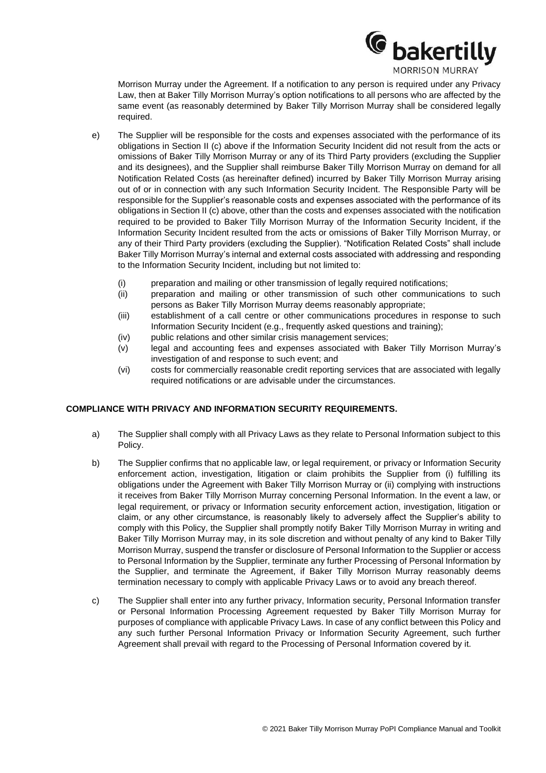

Morrison Murray under the Agreement. If a notification to any person is required under any Privacy Law, then at Baker Tilly Morrison Murray's option notifications to all persons who are affected by the same event (as reasonably determined by Baker Tilly Morrison Murray shall be considered legally required.

- e) The Supplier will be responsible for the costs and expenses associated with the performance of its obligations in Section II (c) above if the Information Security Incident did not result from the acts or omissions of Baker Tilly Morrison Murray or any of its Third Party providers (excluding the Supplier and its designees), and the Supplier shall reimburse Baker Tilly Morrison Murray on demand for all Notification Related Costs (as hereinafter defined) incurred by Baker Tilly Morrison Murray arising out of or in connection with any such Information Security Incident. The Responsible Party will be responsible for the Supplier's reasonable costs and expenses associated with the performance of its obligations in Section II (c) above, other than the costs and expenses associated with the notification required to be provided to Baker Tilly Morrison Murray of the Information Security Incident, if the Information Security Incident resulted from the acts or omissions of Baker Tilly Morrison Murray, or any of their Third Party providers (excluding the Supplier). "Notification Related Costs" shall include Baker Tilly Morrison Murray's internal and external costs associated with addressing and responding to the Information Security Incident, including but not limited to:
	- (i) preparation and mailing or other transmission of legally required notifications;
	- (ii) preparation and mailing or other transmission of such other communications to such persons as Baker Tilly Morrison Murray deems reasonably appropriate;
	- (iii) establishment of a call centre or other communications procedures in response to such Information Security Incident (e.g., frequently asked questions and training);
	- (iv) public relations and other similar crisis management services;
	- (v) legal and accounting fees and expenses associated with Baker Tilly Morrison Murray's investigation of and response to such event; and
	- (vi) costs for commercially reasonable credit reporting services that are associated with legally required notifications or are advisable under the circumstances.

# **COMPLIANCE WITH PRIVACY AND INFORMATION SECURITY REQUIREMENTS.**

- a) The Supplier shall comply with all Privacy Laws as they relate to Personal Information subject to this Policy.
- b) The Supplier confirms that no applicable law, or legal requirement, or privacy or Information Security enforcement action, investigation, litigation or claim prohibits the Supplier from (i) fulfilling its obligations under the Agreement with Baker Tilly Morrison Murray or (ii) complying with instructions it receives from Baker Tilly Morrison Murray concerning Personal Information. In the event a law, or legal requirement, or privacy or Information security enforcement action, investigation, litigation or claim, or any other circumstance, is reasonably likely to adversely affect the Supplier's ability to comply with this Policy, the Supplier shall promptly notify Baker Tilly Morrison Murray in writing and Baker Tilly Morrison Murray may, in its sole discretion and without penalty of any kind to Baker Tilly Morrison Murray, suspend the transfer or disclosure of Personal Information to the Supplier or access to Personal Information by the Supplier, terminate any further Processing of Personal Information by the Supplier, and terminate the Agreement, if Baker Tilly Morrison Murray reasonably deems termination necessary to comply with applicable Privacy Laws or to avoid any breach thereof.
- c) The Supplier shall enter into any further privacy, Information security, Personal Information transfer or Personal Information Processing Agreement requested by Baker Tilly Morrison Murray for purposes of compliance with applicable Privacy Laws. In case of any conflict between this Policy and any such further Personal Information Privacy or Information Security Agreement, such further Agreement shall prevail with regard to the Processing of Personal Information covered by it.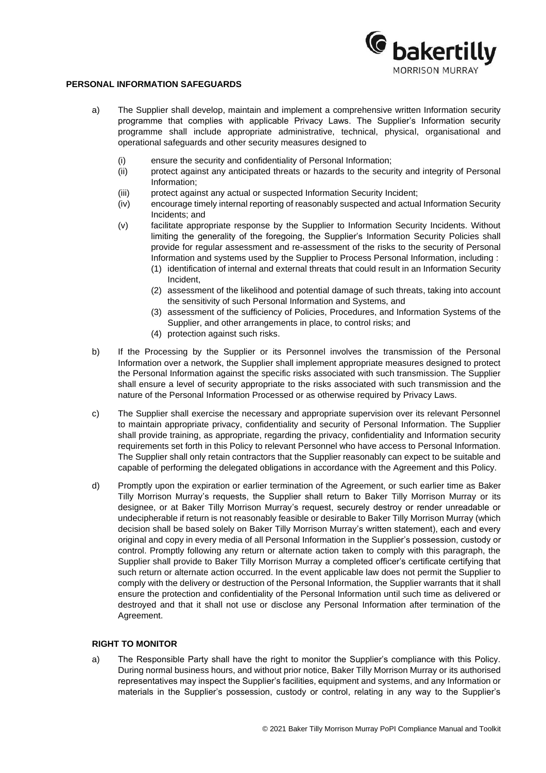

### **PERSONAL INFORMATION SAFEGUARDS**

- a) The Supplier shall develop, maintain and implement a comprehensive written Information security programme that complies with applicable Privacy Laws. The Supplier's Information security programme shall include appropriate administrative, technical, physical, organisational and operational safeguards and other security measures designed to
	- (i) ensure the security and confidentiality of Personal Information;
	- (ii) protect against any anticipated threats or hazards to the security and integrity of Personal Information;
	- (iii) protect against any actual or suspected Information Security Incident;
	- (iv) encourage timely internal reporting of reasonably suspected and actual Information Security Incidents; and
	- (v) facilitate appropriate response by the Supplier to Information Security Incidents. Without limiting the generality of the foregoing, the Supplier's Information Security Policies shall provide for regular assessment and re-assessment of the risks to the security of Personal Information and systems used by the Supplier to Process Personal Information, including :
		- (1) identification of internal and external threats that could result in an Information Security Incident,
		- (2) assessment of the likelihood and potential damage of such threats, taking into account the sensitivity of such Personal Information and Systems, and
		- (3) assessment of the sufficiency of Policies, Procedures, and Information Systems of the Supplier, and other arrangements in place, to control risks; and
		- (4) protection against such risks.
- b) If the Processing by the Supplier or its Personnel involves the transmission of the Personal Information over a network, the Supplier shall implement appropriate measures designed to protect the Personal Information against the specific risks associated with such transmission. The Supplier shall ensure a level of security appropriate to the risks associated with such transmission and the nature of the Personal Information Processed or as otherwise required by Privacy Laws.
- c) The Supplier shall exercise the necessary and appropriate supervision over its relevant Personnel to maintain appropriate privacy, confidentiality and security of Personal Information. The Supplier shall provide training, as appropriate, regarding the privacy, confidentiality and Information security requirements set forth in this Policy to relevant Personnel who have access to Personal Information. The Supplier shall only retain contractors that the Supplier reasonably can expect to be suitable and capable of performing the delegated obligations in accordance with the Agreement and this Policy.
- d) Promptly upon the expiration or earlier termination of the Agreement, or such earlier time as Baker Tilly Morrison Murray's requests, the Supplier shall return to Baker Tilly Morrison Murray or its designee, or at Baker Tilly Morrison Murray's request, securely destroy or render unreadable or undecipherable if return is not reasonably feasible or desirable to Baker Tilly Morrison Murray (which decision shall be based solely on Baker Tilly Morrison Murray's written statement), each and every original and copy in every media of all Personal Information in the Supplier's possession, custody or control. Promptly following any return or alternate action taken to comply with this paragraph, the Supplier shall provide to Baker Tilly Morrison Murray a completed officer's certificate certifying that such return or alternate action occurred. In the event applicable law does not permit the Supplier to comply with the delivery or destruction of the Personal Information, the Supplier warrants that it shall ensure the protection and confidentiality of the Personal Information until such time as delivered or destroyed and that it shall not use or disclose any Personal Information after termination of the Agreement.

# **RIGHT TO MONITOR**

a) The Responsible Party shall have the right to monitor the Supplier's compliance with this Policy. During normal business hours, and without prior notice, Baker Tilly Morrison Murray or its authorised representatives may inspect the Supplier's facilities, equipment and systems, and any Information or materials in the Supplier's possession, custody or control, relating in any way to the Supplier's